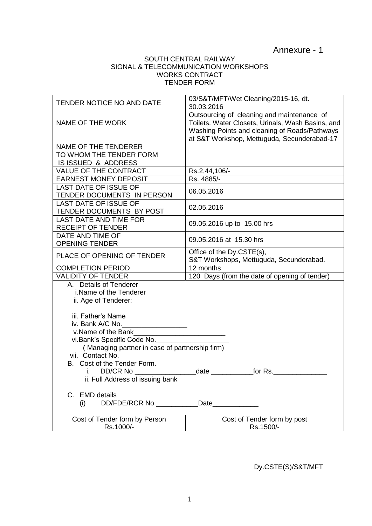Annexure - 1

## SOUTH CENTRAL RAILWAY SIGNAL & TELECOMMUNICATION WORKSHOPS WORKS CONTRACT TENDER FORM

| TENDER NOTICE NO AND DATE                      | 03/S&T/MFT/Wet Cleaning/2015-16, dt.<br>30.03.2016                                                                                                                                              |
|------------------------------------------------|-------------------------------------------------------------------------------------------------------------------------------------------------------------------------------------------------|
| NAME OF THE WORK                               | Outsourcing of cleaning and maintenance of<br>Toilets. Water Closets, Urinals, Wash Basins, and<br>Washing Points and cleaning of Roads/Pathways<br>at S&T Workshop, Mettuguda, Secunderabad-17 |
| NAME OF THE TENDERER                           |                                                                                                                                                                                                 |
| TO WHOM THE TENDER FORM                        |                                                                                                                                                                                                 |
| IS ISSUED & ADDRESS                            |                                                                                                                                                                                                 |
| <b>VALUE OF THE CONTRACT</b>                   | Rs.2,44,106/-                                                                                                                                                                                   |
| <b>EARNEST MONEY DEPOSIT</b>                   | Rs. 4885/-                                                                                                                                                                                      |
| <b>LAST DATE OF ISSUE OF</b>                   |                                                                                                                                                                                                 |
| TENDER DOCUMENTS IN PERSON                     | 06.05.2016                                                                                                                                                                                      |
| <b>LAST DATE OF ISSUE OF</b>                   |                                                                                                                                                                                                 |
| TENDER DOCUMENTS BY POST                       | 02.05.2016                                                                                                                                                                                      |
| <b>LAST DATE AND TIME FOR</b>                  |                                                                                                                                                                                                 |
| <b>RECEIPT OF TENDER</b>                       | 09.05.2016 up to 15.00 hrs                                                                                                                                                                      |
| DATE AND TIME OF                               |                                                                                                                                                                                                 |
| <b>OPENING TENDER</b>                          | 09.05.2016 at 15.30 hrs                                                                                                                                                                         |
|                                                | Office of the Dy.CSTE(s),                                                                                                                                                                       |
| PLACE OF OPENING OF TENDER                     | S&T Workshops, Mettuguda, Secunderabad.                                                                                                                                                         |
| <b>COMPLETION PERIOD</b>                       | 12 months                                                                                                                                                                                       |
| <b>VALIDITY OF TENDER</b>                      | 120 Days (from the date of opening of tender)                                                                                                                                                   |
| A. Details of Tenderer                         |                                                                                                                                                                                                 |
| i.Name of the Tenderer                         |                                                                                                                                                                                                 |
| ii. Age of Tenderer:                           |                                                                                                                                                                                                 |
|                                                |                                                                                                                                                                                                 |
| iii. Father's Name                             |                                                                                                                                                                                                 |
| iv. Bank A/C No.                               |                                                                                                                                                                                                 |
| v.Name of the Bank                             |                                                                                                                                                                                                 |
| vi. Bank's Specific Code No.                   |                                                                                                                                                                                                 |
| (Managing partner in case of partnership firm) |                                                                                                                                                                                                 |
| vii. Contact No.                               |                                                                                                                                                                                                 |
| Cost of the Tender Form.<br>В.                 |                                                                                                                                                                                                 |
| DD/CR No<br>I.                                 | for Rs.<br>date                                                                                                                                                                                 |
| ii. Full Address of issuing bank               |                                                                                                                                                                                                 |
|                                                |                                                                                                                                                                                                 |
| C. EMD details                                 |                                                                                                                                                                                                 |
| (i)                                            | Date_____________                                                                                                                                                                               |
|                                                |                                                                                                                                                                                                 |
| Cost of Tender form by Person                  | Cost of Tender form by post                                                                                                                                                                     |
| Rs.1000/-                                      | Rs.1500/-                                                                                                                                                                                       |

Dy.CSTE(S)/S&T/MFT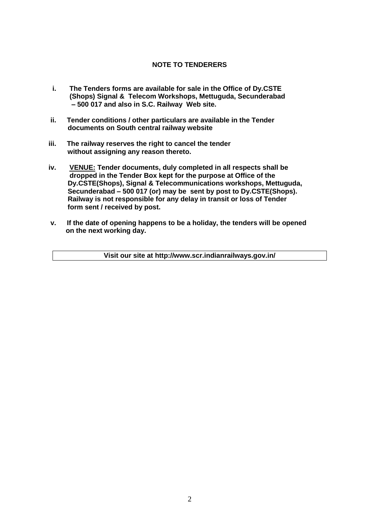## **NOTE TO TENDERERS**

- **i. The Tenders forms are available for sale in the Office of Dy.CSTE (Shops) Signal & Telecom Workshops, Mettuguda, Secunderabad – 500 017 and also in S.C. Railway Web site.**
- **ii. Tender conditions / other particulars are available in the Tender documents on South central railway website**
- **iii. The railway reserves the right to cancel the tender without assigning any reason thereto.**
- **iv. VENUE: Tender documents, duly completed in all respects shall be dropped in the Tender Box kept for the purpose at Office of the Dy.CSTE(Shops), Signal & Telecommunications workshops, Mettuguda, Secunderabad – 500 017 (or) may be sent by post to Dy.CSTE(Shops). Railway is not responsible for any delay in transit or loss of Tender form sent / received by post.**
- **v. If the date of opening happens to be a holiday, the tenders will be opened on the next working day.**

**Visit our site at http://www.scr.indianrailways.gov.in/**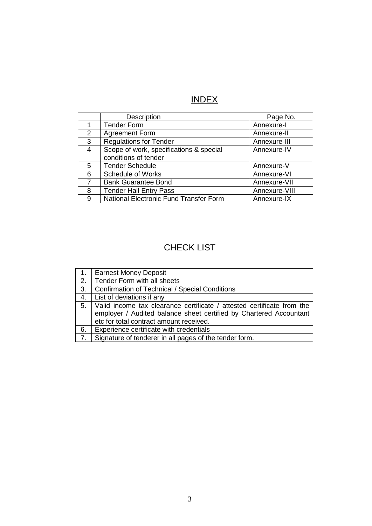# INDEX

|                | Description                                   | Page No.      |
|----------------|-----------------------------------------------|---------------|
|                | <b>Tender Form</b>                            | Annexure-I    |
| $\overline{2}$ | <b>Agreement Form</b>                         | Annexure-II   |
| 3              | <b>Regulations for Tender</b>                 | Annexure-III  |
| 4              | Scope of work, specifications & special       | Annexure-IV   |
|                | conditions of tender                          |               |
| 5.             | <b>Tender Schedule</b>                        | Annexure-V    |
| 6              | <b>Schedule of Works</b>                      | Annexure-VI   |
| $\overline{7}$ | <b>Bank Guarantee Bond</b>                    | Annexure-VII  |
| 8              | <b>Tender Hall Entry Pass</b>                 | Annexure-VIII |
| 9              | <b>National Electronic Fund Transfer Form</b> | Annexure-IX   |

# CHECK LIST

|                  | Earnest Money Deposit                                                  |
|------------------|------------------------------------------------------------------------|
| 2.               | Tender Form with all sheets                                            |
| 3.               | <b>Confirmation of Technical / Special Conditions</b>                  |
| 4.               | List of deviations if any                                              |
| 5.               | Valid income tax clearance certificate / attested certificate from the |
|                  | employer / Audited balance sheet certified by Chartered Accountant     |
|                  | etc for total contract amount received.                                |
| 6.               | Experience certificate with credentials                                |
| $\overline{7}$ . | Signature of tenderer in all pages of the tender form.                 |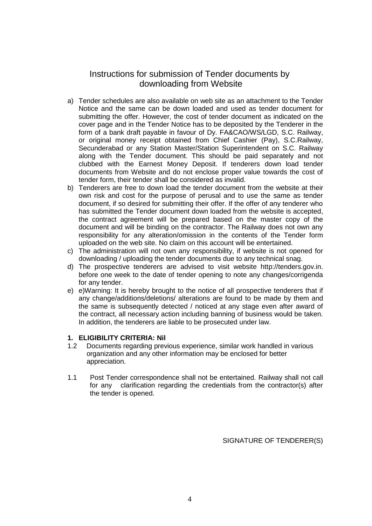## Instructions for submission of Tender documents by downloading from Website

- a) Tender schedules are also available on web site as an attachment to the Tender Notice and the same can be down loaded and used as tender document for submitting the offer. However, the cost of tender document as indicated on the cover page and in the Tender Notice has to be deposited by the Tenderer in the form of a bank draft payable in favour of Dy. FA&CAO/WS/LGD, S.C. Railway, or original money receipt obtained from Chief Cashier (Pay), S.C.Railway, Secunderabad or any Station Master/Station Superintendent on S.C. Railway along with the Tender document. This should be paid separately and not clubbed with the Earnest Money Deposit. If tenderers down load tender documents from Website and do not enclose proper value towards the cost of tender form, their tender shall be considered as invalid.
- b) Tenderers are free to down load the tender document from the website at their own risk and cost for the purpose of perusal and to use the same as tender document, if so desired for submitting their offer. If the offer of any tenderer who has submitted the Tender document down loaded from the website is accepted, the contract agreement will be prepared based on the master copy of the document and will be binding on the contractor. The Railway does not own any responsibility for any alteration/omission in the contents of the Tender form uploaded on the web site. No claim on this account will be entertained.
- c) The administration will not own any responsibility, if website is not opened for downloading / uploading the tender documents due to any technical snag.
- d) The prospective tenderers are advised to visit website http://tenders.gov.in. before one week to the date of tender opening to note any changes/corrigenda for any tender.
- e) e)Warning: It is hereby brought to the notice of all prospective tenderers that if any change/additions/deletions/ alterations are found to be made by them and the same is subsequently detected / noticed at any stage even after award of the contract, all necessary action including banning of business would be taken. In addition, the tenderers are liable to be prosecuted under law.

## **1. ELIGIBILITY CRITERIA: Nil**

- 1.2 Documents regarding previous experience, similar work handled in various organization and any other information may be enclosed for better appreciation.
- 1.1 Post Tender correspondence shall not be entertained. Railway shall not call for any clarification regarding the credentials from the contractor(s) after the tender is opened.

SIGNATURE OF TENDERER(S)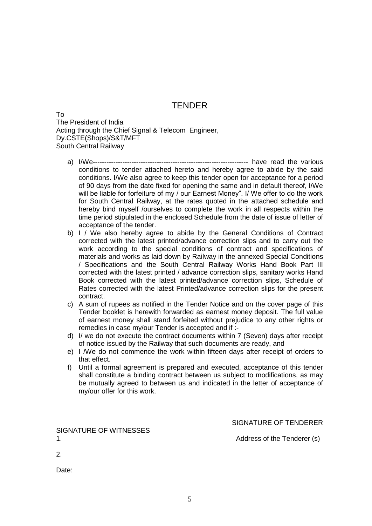## **TENDER**

To The President of India Acting through the Chief Signal & Telecom Engineer, Dy.CSTE(Shops)/S&T/MFT South Central Railway

- a) I/We-------------------------------------------------------------------- have read the various conditions to tender attached hereto and hereby agree to abide by the said conditions. I/We also agree to keep this tender open for acceptance for a period of 90 days from the date fixed for opening the same and in default thereof, I/We will be liable for forfeiture of my / our Earnest Money". I/ We offer to do the work for South Central Railway, at the rates quoted in the attached schedule and hereby bind myself /ourselves to complete the work in all respects within the time period stipulated in the enclosed Schedule from the date of issue of letter of acceptance of the tender.
- b) I / We also hereby agree to abide by the General Conditions of Contract corrected with the latest printed/advance correction slips and to carry out the work according to the special conditions of contract and specifications of materials and works as laid down by Railway in the annexed Special Conditions / Specifications and the South Central Railway Works Hand Book Part III corrected with the latest printed / advance correction slips, sanitary works Hand Book corrected with the latest printed/advance correction slips, Schedule of Rates corrected with the latest Printed/advance correction slips for the present contract.
- c) A sum of rupees as notified in the Tender Notice and on the cover page of this Tender booklet is herewith forwarded as earnest money deposit. The full value of earnest money shall stand forfeited without prejudice to any other rights or remedies in case my/our Tender is accepted and if :-
- d) I/ we do not execute the contract documents within 7 (Seven) days after receipt of notice issued by the Railway that such documents are ready, and
- e) I /We do not commence the work within fifteen days after receipt of orders to that effect.
- f) Until a formal agreement is prepared and executed, acceptance of this tender shall constitute a binding contract between us subject to modifications, as may be mutually agreed to between us and indicated in the letter of acceptance of my/our offer for this work.

SIGNATURE OF TENDERER

SIGNATURE OF WITNESSES 1. **Address of the Tenderer (s) Address of the Tenderer (s)** 

2.

Date: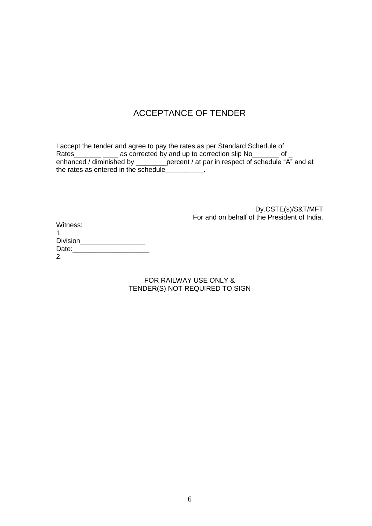# ACCEPTANCE OF TENDER

I accept the tender and agree to pay the rates as per Standard Schedule of Rates\_\_\_\_\_\_\_\_ \_\_\_\_ as corrected by and up to correction slip No\_\_\_\_\_\_\_ of \_ enhanced / diminished by \_\_\_\_\_\_\_\_percent / at par in respect of schedule "A" and at the rates as entered in the schedule\_\_\_\_\_\_\_\_\_\_.

> Dy.CSTE(s)/S&T/MFT For and on behalf of the President of India.

| Witness:        |  |
|-----------------|--|
|                 |  |
| <b>Division</b> |  |
| Date:           |  |
| 2.              |  |
|                 |  |

FOR RAILWAY USE ONLY & TENDER(S) NOT REQUIRED TO SIGN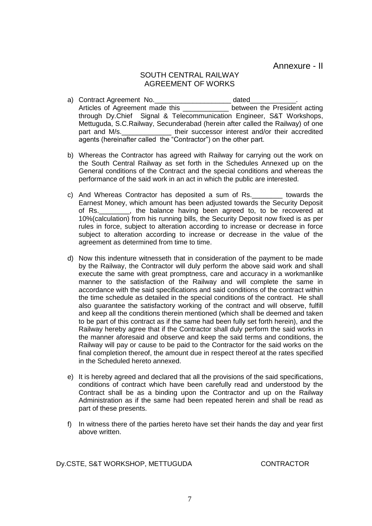Annexure - II

## SOUTH CENTRAL RAILWAY AGREEMENT OF WORKS

- a) Contract Agreement No. \_\_\_\_\_\_\_\_\_\_\_\_\_\_\_\_\_\_\_\_\_\_ dated\_\_\_\_\_\_\_\_\_\_\_\_\_. Articles of Agreement made this \_\_\_\_\_\_\_\_\_\_\_\_ between the President acting through Dy.Chief Signal & Telecommunication Engineer, S&T Workshops, Mettuguda, S.C.Railway, Secunderabad (herein after called the Railway) of one part and M/s.\_\_\_\_\_\_\_\_\_\_\_\_\_ their successor interest and/or their accredited agents (hereinafter called the "Contractor") on the other part.
- b) Whereas the Contractor has agreed with Railway for carrying out the work on the South Central Railway as set forth in the Schedules Annexed up on the General conditions of the Contract and the special conditions and whereas the performance of the said work in an act in which the public are interested.
- c) And Whereas Contractor has deposited a sum of Rs.\_\_\_\_\_\_\_\_ towards the Earnest Money, which amount has been adjusted towards the Security Deposit of Rs.\_\_\_\_\_\_\_\_, the balance having been agreed to, to be recovered at 10%(calculation) from his running bills, the Security Deposit now fixed is as per rules in force, subject to alteration according to increase or decrease in force subject to alteration according to increase or decrease in the value of the agreement as determined from time to time.
- d) Now this indenture witnesseth that in consideration of the payment to be made by the Railway, the Contractor will duly perform the above said work and shall execute the same with great promptness, care and accuracy in a workmanlike manner to the satisfaction of the Railway and will complete the same in accordance with the said specifications and said conditions of the contract within the time schedule as detailed in the special conditions of the contract. He shall also guarantee the satisfactory working of the contract and will observe, fulfill and keep all the conditions therein mentioned (which shall be deemed and taken to be part of this contract as if the same had been fully set forth herein), and the Railway hereby agree that if the Contractor shall duly perform the said works in the manner aforesaid and observe and keep the said terms and conditions, the Railway will pay or cause to be paid to the Contractor for the said works on the final completion thereof, the amount due in respect thereof at the rates specified in the Scheduled hereto annexed.
- e) It is hereby agreed and declared that all the provisions of the said specifications, conditions of contract which have been carefully read and understood by the Contract shall be as a binding upon the Contractor and up on the Railway Administration as if the same had been repeated herein and shall be read as part of these presents.
- f) In witness there of the parties hereto have set their hands the day and year first above written.

Dy.CSTE, S&T WORKSHOP, METTUGUDA CONTRACTOR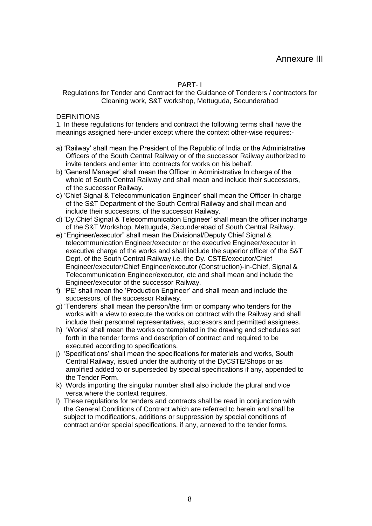PART- I

Regulations for Tender and Contract for the Guidance of Tenderers / contractors for Cleaning work, S&T workshop, Mettuguda, Secunderabad

**DEFINITIONS** 

1. In these regulations for tenders and contract the following terms shall have the meanings assigned here-under except where the context other-wise requires:-

- a) "Railway" shall mean the President of the Republic of India or the Administrative Officers of the South Central Railway or of the successor Railway authorized to invite tenders and enter into contracts for works on his behalf.
- b) "General Manager" shall mean the Officer in Administrative In charge of the whole of South Central Railway and shall mean and include their successors, of the successor Railway.
- c) "Chief Signal & Telecommunication Engineer" shall mean the Officer-In-charge of the S&T Department of the South Central Railway and shall mean and include their successors, of the successor Railway.
- d) "Dy.Chief Signal & Telecommunication Engineer" shall mean the officer incharge of the S&T Workshop, Mettuguda, Secunderabad of South Central Railway.
- e) "Engineer/executor" shall mean the Divisional/Deputy Chief Signal & telecommunication Engineer/executor or the executive Engineer/executor in executive charge of the works and shall include the superior officer of the S&T Dept. of the South Central Railway i.e. the Dy. CSTE/executor/Chief Engineer/executor/Chief Engineer/executor (Construction)-in-Chief, Signal & Telecommunication Engineer/executor, etc and shall mean and include the Engineer/executor of the successor Railway.
- f) "PE" shall mean the "Production Engineer" and shall mean and include the successors, of the successor Railway.
- g) "Tenderers" shall mean the person/the firm or company who tenders for the works with a view to execute the works on contract with the Railway and shall include their personnel representatives, successors and permitted assignees.
- h) "Works" shall mean the works contemplated in the drawing and schedules set forth in the tender forms and description of contract and required to be executed according to specifications.
- j) "Specifications" shall mean the specifications for materials and works, South Central Railway, issued under the authority of the DyCSTE/Shops or as amplified added to or superseded by special specifications if any, appended to the Tender Form.
- k) Words importing the singular number shall also include the plural and vice versa where the context requires.
- l) These regulations for tenders and contracts shall be read in conjunction with the General Conditions of Contract which are referred to herein and shall be subject to modifications, additions or suppression by special conditions of contract and/or special specifications, if any, annexed to the tender forms.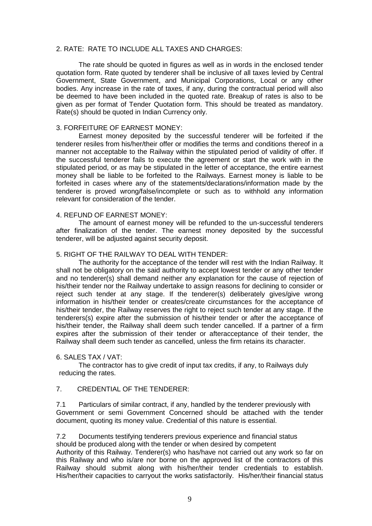#### 2. RATE: RATE TO INCLUDE ALL TAXES AND CHARGES:

The rate should be quoted in figures as well as in words in the enclosed tender quotation form. Rate quoted by tenderer shall be inclusive of all taxes levied by Central Government, State Government, and Municipal Corporations, Local or any other bodies. Any increase in the rate of taxes, if any, during the contractual period will also be deemed to have been included in the quoted rate. Breakup of rates is also to be given as per format of Tender Quotation form. This should be treated as mandatory. Rate(s) should be quoted in Indian Currency only.

#### 3. FORFEITURE OF EARNEST MONEY:

Earnest money deposited by the successful tenderer will be forfeited if the tenderer resiles from his/her/their offer or modifies the terms and conditions thereof in a manner not acceptable to the Railway within the stipulated period of validity of offer. If the successful tenderer fails to execute the agreement or start the work with in the stipulated period, or as may be stipulated in the letter of acceptance, the entire earnest money shall be liable to be forfeited to the Railways. Earnest money is liable to be forfeited in cases where any of the statements/declarations/information made by the tenderer is proved wrong/false/incomplete or such as to withhold any information relevant for consideration of the tender.

#### 4. REFUND OF EARNEST MONEY:

The amount of earnest money will be refunded to the un-successful tenderers after finalization of the tender. The earnest money deposited by the successful tenderer, will be adjusted against security deposit.

#### 5. RIGHT OF THE RAILWAY TO DEAL WITH TENDER:

The authority for the acceptance of the tender will rest with the Indian Railway. It shall not be obligatory on the said authority to accept lowest tender or any other tender and no tenderer(s) shall demand neither any explanation for the cause of rejection of his/their tender nor the Railway undertake to assign reasons for declining to consider or reject such tender at any stage. If the tenderer(s) deliberately gives/give wrong information in his/their tender or creates/create circumstances for the acceptance of his/their tender, the Railway reserves the right to reject such tender at any stage. If the tenderers(s) expire after the submission of his/their tender or after the acceptance of his/their tender, the Railway shall deem such tender cancelled. If a partner of a firm expires after the submission of their tender or afteracceptance of their tender, the Railway shall deem such tender as cancelled, unless the firm retains its character.

#### 6. SALES TAX / VAT:

The contractor has to give credit of input tax credits, if any, to Railways duly reducing the rates.

## 7. CREDENTIAL OF THE TENDERER:

7.1 Particulars of similar contract, if any, handled by the tenderer previously with Government or semi Government Concerned should be attached with the tender document, quoting its money value. Credential of this nature is essential.

7.2 Documents testifying tenderers previous experience and financial status should be produced along with the tender or when desired by competent Authority of this Railway. Tenderer(s) who has/have not carried out any work so far on this Railway and who is/are nor borne on the approved list of the contractors of this Railway should submit along with his/her/their tender credentials to establish. His/her/their capacities to carryout the works satisfactorily. His/her/their financial status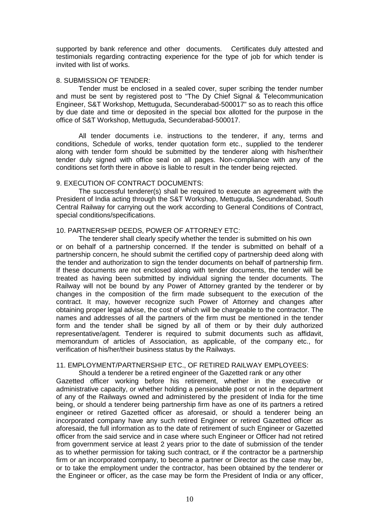supported by bank reference and other documents. Certificates duly attested and testimonials regarding contracting experience for the type of job for which tender is invited with list of works.

#### 8. SUBMISSION OF TENDER:

Tender must be enclosed in a sealed cover, super scribing the tender number and must be sent by registered post to "The Dy Chief Signal & Telecommunication Engineer, S&T Workshop, Mettuguda, Secunderabad-500017" so as to reach this office by due date and time or deposited in the special box allotted for the purpose in the office of S&T Workshop, Mettuguda, Secunderabad-500017.

All tender documents i.e. instructions to the tenderer, if any, terms and conditions, Schedule of works, tender quotation form etc., supplied to the tenderer along with tender form should be submitted by the tenderer along with his/her/their tender duly signed with office seal on all pages. Non-compliance with any of the conditions set forth there in above is liable to result in the tender being rejected.

### 9. EXECUTION OF CONTRACT DOCUMENTS:

The successful tenderer(s) shall be required to execute an agreement with the President of India acting through the S&T Workshop, Mettuguda, Secunderabad, South Central Railway for carrying out the work according to General Conditions of Contract, special conditions/specifications.

### 10. PARTNERSHIP DEEDS, POWER OF ATTORNEY ETC:

The tenderer shall clearly specify whether the tender is submitted on his own or on behalf of a partnership concerned. If the tender is submitted on behalf of a partnership concern, he should submit the certified copy of partnership deed along with the tender and authorization to sign the tender documents on behalf of partnership firm. If these documents are not enclosed along with tender documents, the tender will be treated as having been submitted by individual signing the tender documents. The Railway will not be bound by any Power of Attorney granted by the tenderer or by changes in the composition of the firm made subsequent to the execution of the contract. It may, however recognize such Power of Attorney and changes after obtaining proper legal advise, the cost of which will be chargeable to the contractor. The names and addresses of all the partners of the firm must be mentioned in the tender form and the tender shall be signed by all of them or by their duly authorized representative/agent. Tenderer is required to submit documents such as affidavit, memorandum of articles of Association, as applicable, of the company etc., for verification of his/her/their business status by the Railways.

### 11. EMPLOYMENT/PARTNERSHIP ETC., OF RETIRED RAILWAY EMPLOYEES:

Should a tenderer be a retired engineer of the Gazetted rank or any other Gazetted officer working before his retirement, whether in the executive or administrative capacity, or whether holding a pensionable post or not in the department of any of the Railways owned and administered by the president of India for the time being, or should a tenderer being partnership firm have as one of its partners a retired engineer or retired Gazetted officer as aforesaid, or should a tenderer being an incorporated company have any such retired Engineer or retired Gazetted officer as aforesaid, the full information as to the date of retirement of such Engineer or Gazetted officer from the said service and in case where such Engineer or Officer had not retired from government service at least 2 years prior to the date of submission of the tender as to whether permission for taking such contract, or if the contractor be a partnership firm or an incorporated company, to become a partner or Director as the case may be, or to take the employment under the contractor, has been obtained by the tenderer or the Engineer or officer, as the case may be form the President of India or any officer,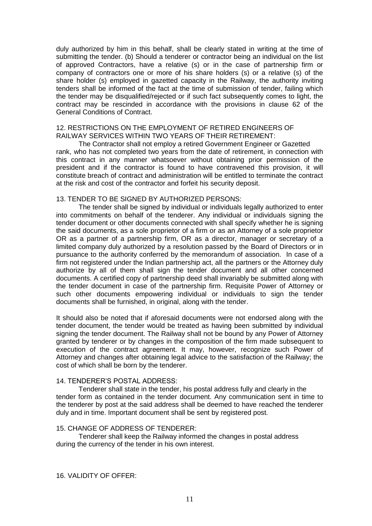duly authorized by him in this behalf, shall be clearly stated in writing at the time of submitting the tender. (b) Should a tenderer or contractor being an individual on the list of approved Contractors, have a relative (s) or in the case of partnership firm or company of contractors one or more of his share holders (s) or a relative (s) of the share holder (s) employed in gazetted capacity in the Railway, the authority inviting tenders shall be informed of the fact at the time of submission of tender, failing which the tender may be disqualified/rejected or if such fact subsequently comes to light, the contract may be rescinded in accordance with the provisions in clause 62 of the General Conditions of Contract.

## 12. RESTRICTIONS ON THE EMPLOYMENT OF RETIRED ENGINEERS OF RAILWAY SERVICES WITHIN TWO YEARS OF THEIR RETIREMENT:

The Contractor shall not employ a retired Government Engineer or Gazetted rank, who has not completed two years from the date of retirement, in connection with this contract in any manner whatsoever without obtaining prior permission of the president and if the contractor is found to have contravened this provision, it will constitute breach of contract and administration will be entitled to terminate the contract at the risk and cost of the contractor and forfeit his security deposit.

### 13. TENDER TO BE SIGNED BY AUTHORIZED PERSONS:

The tender shall be signed by individual or individuals legally authorized to enter into commitments on behalf of the tenderer. Any individual or individuals signing the tender document or other documents connected with shall specify whether he is signing the said documents, as a sole proprietor of a firm or as an Attorney of a sole proprietor OR as a partner of a partnership firm, OR as a director, manager or secretary of a limited company duly authorized by a resolution passed by the Board of Directors or in pursuance to the authority conferred by the memorandum of association. In case of a firm not registered under the Indian partnership act, all the partners or the Attorney duly authorize by all of them shall sign the tender document and all other concerned documents. A certified copy of partnership deed shall invariably be submitted along with the tender document in case of the partnership firm. Requisite Power of Attorney or such other documents empowering individual or individuals to sign the tender documents shall be furnished, in original, along with the tender.

It should also be noted that if aforesaid documents were not endorsed along with the tender document, the tender would be treated as having been submitted by individual signing the tender document. The Railway shall not be bound by any Power of Attorney granted by tenderer or by changes in the composition of the firm made subsequent to execution of the contract agreement. It may, however, recognize such Power of Attorney and changes after obtaining legal advice to the satisfaction of the Railway; the cost of which shall be born by the tenderer.

#### 14. TENDERER"S POSTAL ADDRESS:

Tenderer shall state in the tender, his postal address fully and clearly in the tender form as contained in the tender document. Any communication sent in time to the tenderer by post at the said address shall be deemed to have reached the tenderer duly and in time. Important document shall be sent by registered post.

#### 15. CHANGE OF ADDRESS OF TENDERER:

Tenderer shall keep the Railway informed the changes in postal address during the currency of the tender in his own interest.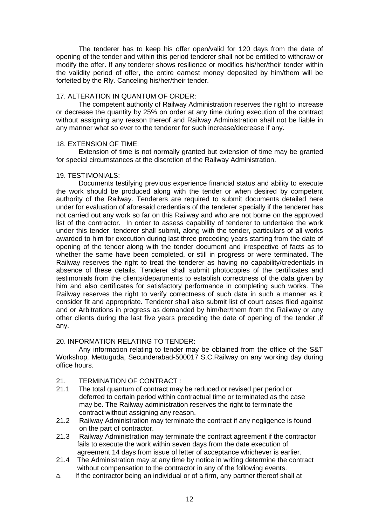The tenderer has to keep his offer open/valid for 120 days from the date of opening of the tender and within this period tenderer shall not be entitled to withdraw or modify the offer. If any tenderer shows resilience or modifies his/her/their tender within the validity period of offer, the entire earnest money deposited by him/them will be forfeited by the Rly. Canceling his/her/their tender.

#### 17. ALTERATION IN QUANTUM OF ORDER:

The competent authority of Railway Administration reserves the right to increase or decrease the quantity by 25% on order at any time during execution of the contract without assigning any reason thereof and Railway Administration shall not be liable in any manner what so ever to the tenderer for such increase/decrease if any.

### 18. EXTENSION OF TIME:

Extension of time is not normally granted but extension of time may be granted for special circumstances at the discretion of the Railway Administration.

### 19. TESTIMONIALS:

Documents testifying previous experience financial status and ability to execute the work should be produced along with the tender or when desired by competent authority of the Railway. Tenderers are required to submit documents detailed here under for evaluation of aforesaid credentials of the tenderer specially if the tenderer has not carried out any work so far on this Railway and who are not borne on the approved list of the contractor. In order to assess capability of tenderer to undertake the work under this tender, tenderer shall submit, along with the tender, particulars of all works awarded to him for execution during last three preceding years starting from the date of opening of the tender along with the tender document and irrespective of facts as to whether the same have been completed, or still in progress or were terminated. The Railway reserves the right to treat the tenderer as having no capability/credentials in absence of these details. Tenderer shall submit photocopies of the certificates and testimonials from the clients/departments to establish correctness of the data given by him and also certificates for satisfactory performance in completing such works. The Railway reserves the right to verify correctness of such data in such a manner as it consider fit and appropriate. Tenderer shall also submit list of court cases filed against and or Arbitrations in progress as demanded by him/her/them from the Railway or any other clients during the last five years preceding the date of opening of the tender ,if any.

## 20. INFORMATION RELATING TO TENDER:

Any information relating to tender may be obtained from the office of the S&T Workshop, Mettuguda, Secunderabad-500017 S.C.Railway on any working day during office hours.

- 21. TERMINATION OF CONTRACT :
- 21.1 The total quantum of contract may be reduced or revised per period or deferred to certain period within contractual time or terminated as the case may be. The Railway administration reserves the right to terminate the contract without assigning any reason.
- 21.2 Railway Administration may terminate the contract if any negligence is found on the part of contractor.
- 21.3 Railway Administration may terminate the contract agreement if the contractor fails to execute the work within seven days from the date execution of agreement 14 days from issue of letter of acceptance whichever is earlier.
- 21.4 The Administration may at any time by notice in writing determine the contract without compensation to the contractor in any of the following events.
- a. If the contractor being an individual or of a firm, any partner thereof shall at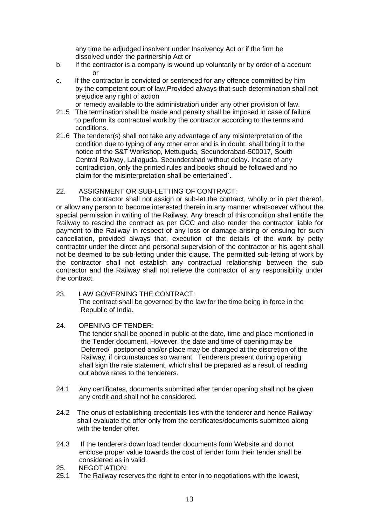any time be adjudged insolvent under Insolvency Act or if the firm be dissolved under the partnership Act or

- b. If the contractor is a company is wound up voluntarily or by order of a account or
- c. If the contractor is convicted or sentenced for any offence committed by him by the competent court of law.Provided always that such determination shall not prejudice any right of action
- or remedy available to the administration under any other provision of law. 21.5 The termination shall be made and penalty shall be imposed in case of failure to perform its contractual work by the contractor according to the terms and conditions.
- 21.6 The tenderer(s) shall not take any advantage of any misinterpretation of the condition due to typing of any other error and is in doubt, shall bring it to the notice of the S&T Workshop, Mettuguda, Secunderabad-500017, South Central Railway, Lallaguda, Secunderabad without delay. Incase of any contradiction, only the printed rules and books should be followed and no claim for the misinterpretation shall be entertained`.

## 22. ASSIGNMENT OR SUB-LETTING OF CONTRACT:

The contractor shall not assign or sub-let the contract, wholly or in part thereof, or allow any person to become interested therein in any manner whatsoever without the special permission in writing of the Railway. Any breach of this condition shall entitle the Railway to rescind the contract as per GCC and also render the contractor liable for payment to the Railway in respect of any loss or damage arising or ensuing for such cancellation, provided always that, execution of the details of the work by petty contractor under the direct and personal supervision of the contractor or his agent shall not be deemed to be sub-letting under this clause. The permitted sub-letting of work by the contractor shall not establish any contractual relationship between the sub contractor and the Railway shall not relieve the contractor of any responsibility under the contract.

23. LAW GOVERNING THE CONTRACT: The contract shall be governed by the law for the time being in force in the Republic of India.

## 24. OPENING OF TENDER:

The tender shall be opened in public at the date, time and place mentioned in the Tender document. However, the date and time of opening may be Deferred/ postponed and/or place may be changed at the discretion of the Railway, if circumstances so warrant. Tenderers present during opening shall sign the rate statement, which shall be prepared as a result of reading out above rates to the tenderers.

- 24.1 Any certificates, documents submitted after tender opening shall not be given any credit and shall not be considered.
- 24.2 The onus of establishing credentials lies with the tenderer and hence Railway shall evaluate the offer only from the certificates/documents submitted along with the tender offer
- 24.3 If the tenderers down load tender documents form Website and do not enclose proper value towards the cost of tender form their tender shall be considered as in valid.
- 25. NEGOTIATION:
- 25.1 The Railway reserves the right to enter in to negotiations with the lowest,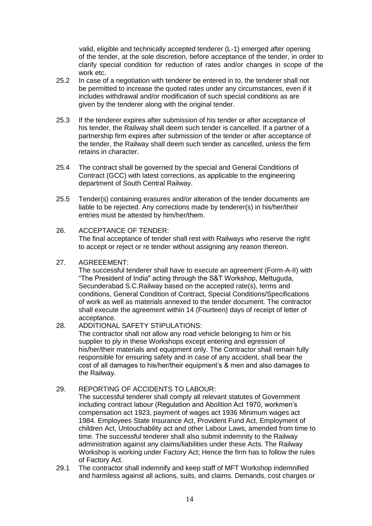valid, eligible and technically accepted tenderer (L-1) emerged after opening of the tender, at the sole discretion, before acceptance of the tender, in order to clarify special condition for reduction of rates and/or changes in scope of the work etc.

- 25.2 In case of a negotiation with tenderer be entered in to, the tenderer shall not be permitted to increase the quoted rates under any circumstances, even if it includes withdrawal and/or modification of such special conditions as are given by the tenderer along with the original tender.
- 25.3 If the tenderer expires after submission of his tender or after acceptance of his tender, the Railway shall deem such tender is cancelled. If a partner of a partnership firm expires after submission of the tender or after acceptance of the tender, the Railway shall deem such tender as cancelled, unless the firm retains in character.
- 25.4 The contract shall be governed by the special and General Conditions of Contract (GCC) with latest corrections, as applicable to the engineering department of South Central Railway.
- 25.5 Tender(s) containing erasures and/or alteration of the tender documents are liable to be rejected. Any corrections made by tenderer(s) in his/her/their entries must be attested by him/her/them.

## 26. ACCEPTANCE OF TENDER:

The final acceptance of tender shall rest with Railways who reserve the right to accept or reject or re tender without assigning any reason thereon.

## 27. AGREEEMENT:

The successful tenderer shall have to execute an agreement (Form-A-II) with "The President of India" acting through the S&T Workshop, Mettuguda, Secunderabad S.C.Railway based on the accepted rate(s), terms and conditions, General Condition of Contract, Special Conditions/Specifications of work as well as materials annexed to the tender document. The contractor shall execute the agreement within 14 (Fourteen) days of receipt of letter of acceptance.

## 28. ADDITIONAL SAFETY STIPULATIONS:

The contractor shall not allow any road vehicle belonging to him or his supplier to ply in these Workshops except entering and egression of his/her/their materials and equipment only. The Contractor shall remain fully responsible for ensuring safety and in case of any accident, shall bear the cost of all damages to his/her/their equipment"s & men and also damages to the Railway.

## 29. REPORTING OF ACCIDENTS TO LABOUR:

The successful tenderer shall comply all relevant statutes of Government including contract labour (Regulation and Abolition Act 1970, workmen"s compensation act 1923, payment of wages act 1936 Minimum wages act 1984. Employees State Insurance Act, Provident Fund Act, Employment of children Act, Untouchability act and other Labour Laws, amended from time to time. The successful tenderer shall also submit indemnity to the Railway administration against any claims/liabilities under these Acts. The Railway Workshop is working under Factory Act; Hence the firm has to follow the rules of Factory Act.

29.1 The contractor shall indemnify and keep staff of MFT Workshop indemnified and harmless against all actions, suits, and claims. Demands, cost charges or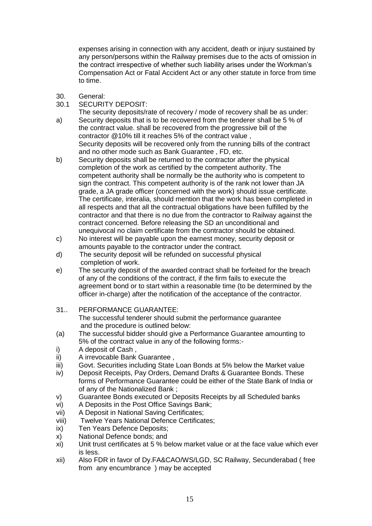expenses arising in connection with any accident, death or injury sustained by any person/persons within the Railway premises due to the acts of omission in the contract irrespective of whether such liability arises under the Workman"s Compensation Act or Fatal Accident Act or any other statute in force from time to time.

- 30. General:
- 30.1 SECURITY DEPOSIT:

The security deposits/rate of recovery / mode of recovery shall be as under: a) Security deposits that is to be recovered from the tenderer shall be 5 % of the contract value. shall be recovered from the progressive bill of the contractor @10% till it reaches 5% of the contract value ,

Security deposits will be recovered only from the running bills of the contract and no other mode such as Bank Guarantee , FD, etc.

- b) Security deposits shall be returned to the contractor after the physical completion of the work as certified by the competent authority. The competent authority shall be normally be the authority who is competent to sign the contract. This competent authority is of the rank not lower than JA grade, a JA grade officer (concerned with the work) should issue certificate. The certificate, interalia, should mention that the work has been completed in all respects and that all the contractual obligations have been fulfilled by the contractor and that there is no due from the contractor to Railway against the contract concerned. Before releasing the SD an unconditional and unequivocal no claim certificate from the contractor should be obtained.
- c) No interest will be payable upon the earnest money, security deposit or amounts payable to the contractor under the contract.
- d) The security deposit will be refunded on successful physical completion of work.
- e) The security deposit of the awarded contract shall be forfeited for the breach of any of the conditions of the contract, if the firm fails to execute the agreement bond or to start within a reasonable time (to be determined by the officer in-charge) after the notification of the acceptance of the contractor.
- 31.. PERFORMANCE GUARANTEE: The successful tenderer should submit the performance guarantee and the procedure is outlined below:
- (a) The successful bidder should give a Performance Guarantee amounting to 5% of the contract value in any of the following forms:-
- i) A deposit of Cash ,
- ii) A irrevocable Bank Guarantee ,
- iii) Govt. Securities including State Loan Bonds at 5% below the Market value
- iv) Deposit Receipts, Pay Orders, Demand Drafts & Guarantee Bonds. These forms of Performance Guarantee could be either of the State Bank of India or of any of the Nationalized Bank ;
- v) Guarantee Bonds executed or Deposits Receipts by all Scheduled banks
- vi) A Deposits in the Post Office Savings Bank;
- vii) A Deposit in National Saving Certificates;
- viii) Twelve Years National Defence Certificates;
- ix) Ten Years Defence Deposits;
- x) National Defence bonds; and
- xi) Unit trust certificates at 5 % below market value or at the face value which ever is less.
- xii) Also FDR in favor of Dy.FA&CAO/WS/LGD, SC Railway, Secunderabad ( free from any encumbrance ) may be accepted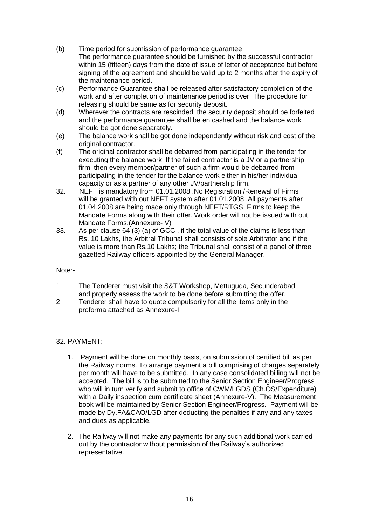- (b) Time period for submission of performance guarantee: The performance guarantee should be furnished by the successful contractor within 15 (fifteen) days from the date of issue of letter of acceptance but before signing of the agreement and should be valid up to 2 months after the expiry of the maintenance period.
- (c) Performance Guarantee shall be released after satisfactory completion of the work and after completion of maintenance period is over. The procedure for releasing should be same as for security deposit.
- (d) Wherever the contracts are rescinded, the security deposit should be forfeited and the performance guarantee shall be en cashed and the balance work should be got done separately.
- (e) The balance work shall be got done independently without risk and cost of the original contractor.
- (f) The original contractor shall be debarred from participating in the tender for executing the balance work. If the failed contractor is a JV or a partnership firm, then every member/partner of such a firm would be debarred from participating in the tender for the balance work either in his/her individual capacity or as a partner of any other JV/partnership firm.
- 32. NEFT is mandatory from 01.01.2008 .No Registration /Renewal of Firms will be granted with out NEFT system after 01.01.2008 .All payments after 01.04.2008 are being made only through NEFT/RTGS .Firms to keep the Mandate Forms along with their offer. Work order will not be issued with out Mandate Forms.(Annexure- V)
- 33. As per clause 64 (3) (a) of GCC , if the total value of the claims is less than Rs. 10 Lakhs, the Arbitral Tribunal shall consists of sole Arbitrator and if the value is more than Rs.10 Lakhs; the Tribunal shall consist of a panel of three gazetted Railway officers appointed by the General Manager.

## Note:-

- 1. The Tenderer must visit the S&T Workshop, Mettuguda, Secunderabad and properly assess the work to be done before submitting the offer.
- 2. Tenderer shall have to quote compulsorily for all the items only in the proforma attached as Annexure-I

## 32. PAYMENT:

- 1. Payment will be done on monthly basis, on submission of certified bill as per the Railway norms. To arrange payment a bill comprising of charges separately per month will have to be submitted. In any case consolidated billing will not be accepted. The bill is to be submitted to the Senior Section Engineer/Progress who will in turn verify and submit to office of CWM/LGDS (Ch.OS/Expenditure) with a Daily inspection cum certificate sheet (Annexure-V). The Measurement book will be maintained by Senior Section Engineer/Progress. Payment will be made by Dy.FA&CAO/LGD after deducting the penalties if any and any taxes and dues as applicable.
- 2. The Railway will not make any payments for any such additional work carried out by the contractor without permission of the Railway"s authorized representative.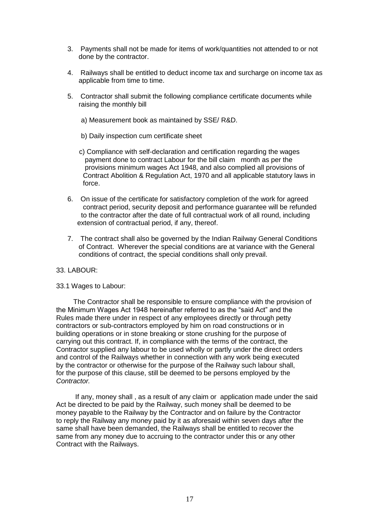- 3. Payments shall not be made for items of work/quantities not attended to or not done by the contractor.
- 4. Railways shall be entitled to deduct income tax and surcharge on income tax as applicable from time to time.
- 5. Contractor shall submit the following compliance certificate documents while raising the monthly bill
	- a) Measurement book as maintained by SSE/ R&D.
	- b) Daily inspection cum certificate sheet
	- c) Compliance with self-declaration and certification regarding the wages payment done to contract Labour for the bill claim month as per the provisions minimum wages Act 1948, and also complied all provisions of Contract Abolition & Regulation Act, 1970 and all applicable statutory laws in force.
- 6. On issue of the certificate for satisfactory completion of the work for agreed contract period, security deposit and performance guarantee will be refunded to the contractor after the date of full contractual work of all round, including extension of contractual period, if any, thereof.
- 7. The contract shall also be governed by the Indian Railway General Conditions of Contract. Wherever the special conditions are at variance with the General conditions of contract, the special conditions shall only prevail.

#### 33. LABOUR:

#### 33.1 Wages to Labour:

 The Contractor shall be responsible to ensure compliance with the provision of the Minimum Wages Act 1948 hereinafter referred to as the "said Act" and the Rules made there under in respect of any employees directly or through petty contractors or sub-contractors employed by him on road constructions or in building operations or in stone breaking or stone crushing for the purpose of carrying out this contract. If, in compliance with the terms of the contract, the Contractor supplied any labour to be used wholly or partly under the direct orders and control of the Railways whether in connection with any work being executed by the contractor or otherwise for the purpose of the Railway such labour shall, for the purpose of this clause, still be deemed to be persons employed by the *Contractor.*

 If any, money shall , as a result of any claim or application made under the said Act be directed to be paid by the Railway, such money shall be deemed to be money payable to the Railway by the Contractor and on failure by the Contractor to reply the Railway any money paid by it as aforesaid within seven days after the same shall have been demanded, the Railways shall be entitled to recover the same from any money due to accruing to the contractor under this or any other Contract with the Railways.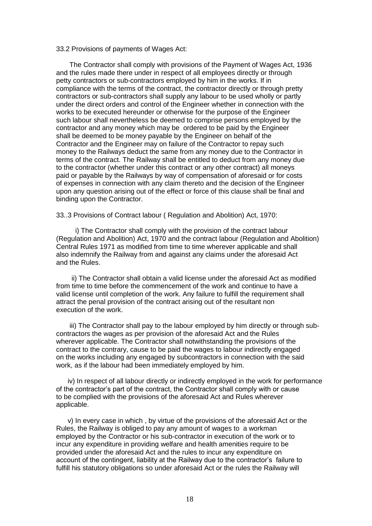#### 33.2 Provisions of payments of Wages Act:

 The Contractor shall comply with provisions of the Payment of Wages Act, 1936 and the rules made there under in respect of all employees directly or through petty contractors or sub-contractors employed by him in the works. If in compliance with the terms of the contract, the contractor directly or through pretty contractors or sub-contractors shall supply any labour to be used wholly or partly under the direct orders and control of the Engineer whether in connection with the works to be executed hereunder or otherwise for the purpose of the Engineer such labour shall nevertheless be deemed to comprise persons employed by the contractor and any money which may be ordered to be paid by the Engineer shall be deemed to be money payable by the Engineer on behalf of the Contractor and the Engineer may on failure of the Contractor to repay such money to the Railways deduct the same from any money due to the Contractor in terms of the contract. The Railway shall be entitled to deduct from any money due to the contractor (whether under this contract or any other contract) all moneys paid or payable by the Railways by way of compensation of aforesaid or for costs of expenses in connection with any claim thereto and the decision of the Engineer upon any question arising out of the effect or force of this clause shall be final and binding upon the Contractor.

33..3 Provisions of Contract labour ( Regulation and Abolition) Act, 1970:

 i) The Contractor shall comply with the provision of the contract labour (Regulation and Abolition) Act, 1970 and the contract labour (Regulation and Abolition) Central Rules 1971 as modified from time to time wherever applicable and shall also indemnify the Railway from and against any claims under the aforesaid Act and the Rules.

 ii) The Contractor shall obtain a valid license under the aforesaid Act as modified from time to time before the commencement of the work and continue to have a valid license until completion of the work. Any failure to fulfill the requirement shall attract the penal provision of the contract arising out of the resultant non execution of the work.

 iii) The Contractor shall pay to the labour employed by him directly or through subcontractors the wages as per provision of the aforesaid Act and the Rules wherever applicable. The Contractor shall notwithstanding the provisions of the contract to the contrary, cause to be paid the wages to labour indirectly engaged on the works including any engaged by subcontractors in connection with the said work, as if the labour had been immediately employed by him.

 iv) In respect of all labour directly or indirectly employed in the work for performance of the contractor"s part of the contract, the Contractor shall comply with or cause to be complied with the provisions of the aforesaid Act and Rules wherever applicable.

 v) In every case in which , by virtue of the provisions of the aforesaid Act or the Rules, the Railway is obliged to pay any amount of wages to a workman employed by the Contractor or his sub-contractor in execution of the work or to incur any expenditure in providing welfare and health amenities require to be provided under the aforesaid Act and the rules to incur any expenditure on account of the contingent, liability at the Railway due to the contractor"s failure to fulfill his statutory obligations so under aforesaid Act or the rules the Railway will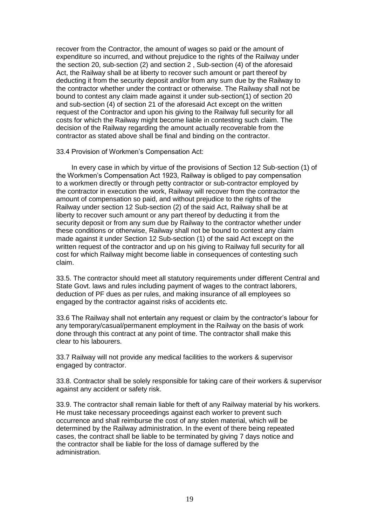recover from the Contractor, the amount of wages so paid or the amount of expenditure so incurred, and without prejudice to the rights of the Railway under the section 20, sub-section (2) and section 2 , Sub-section (4) of the aforesaid Act, the Railway shall be at liberty to recover such amount or part thereof by deducting it from the security deposit and/or from any sum due by the Railway to the contractor whether under the contract or otherwise. The Railway shall not be bound to contest any claim made against it under sub-section(1) of section 20 and sub-section (4) of section 21 of the aforesaid Act except on the written request of the Contractor and upon his giving to the Railway full security for all costs for which the Railway might become liable in contesting such claim. The decision of the Railway regarding the amount actually recoverable from the contractor as stated above shall be final and binding on the contractor.

33.4 Provision of Workmen"s Compensation Act:

 In every case in which by virtue of the provisions of Section 12 Sub-section (1) of the Workmen"s Compensation Act 1923, Railway is obliged to pay compensation to a workmen directly or through petty contractor or sub-contractor employed by the contractor in execution the work, Railway will recover from the contractor the amount of compensation so paid, and without prejudice to the rights of the Railway under section 12 Sub-section (2) of the said Act, Railway shall be at liberty to recover such amount or any part thereof by deducting it from the security deposit or from any sum due by Railway to the contractor whether under these conditions or otherwise, Railway shall not be bound to contest any claim made against it under Section 12 Sub-section (1) of the said Act except on the written request of the contractor and up on his giving to Railway full security for all cost for which Railway might become liable in consequences of contesting such claim.

33.5. The contractor should meet all statutory requirements under different Central and State Govt. laws and rules including payment of wages to the contract laborers, deduction of PF dues as per rules, and making insurance of all employees so engaged by the contractor against risks of accidents etc.

33.6 The Railway shall not entertain any request or claim by the contractor"s labour for any temporary/casual/permanent employment in the Railway on the basis of work done through this contract at any point of time. The contractor shall make this clear to his labourers.

33.7 Railway will not provide any medical facilities to the workers & supervisor engaged by contractor.

33.8. Contractor shall be solely responsible for taking care of their workers & supervisor against any accident or safety risk.

33.9. The contractor shall remain liable for theft of any Railway material by his workers. He must take necessary proceedings against each worker to prevent such occurrence and shall reimburse the cost of any stolen material, which will be determined by the Railway administration. In the event of there being repeated cases, the contract shall be liable to be terminated by giving 7 days notice and the contractor shall be liable for the loss of damage suffered by the administration.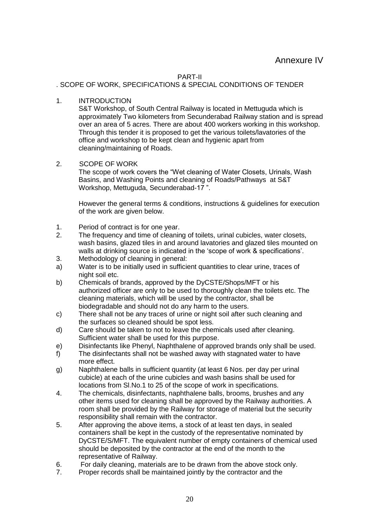### PART-II

## . SCOPE OF WORK, SPECIFICATIONS & SPECIAL CONDITIONS OF TENDER

1. INTRODUCTION

S&T Workshop, of South Central Railway is located in Mettuguda which is approximately Two kilometers from Secunderabad Railway station and is spread over an area of 5 acres. There are about 400 workers working in this workshop. Through this tender it is proposed to get the various toilets/lavatories of the office and workshop to be kept clean and hygienic apart from cleaning/maintaining of Roads.

## 2. SCOPE OF WORK

The scope of work covers the "Wet cleaning of Water Closets, Urinals, Wash Basins, and Washing Points and cleaning of Roads/Pathways at S&T Workshop, Mettuguda, Secunderabad-17 ".

However the general terms & conditions, instructions & guidelines for execution of the work are given below.

- 1. Period of contract is for one year.
- 2. The frequency and time of cleaning of toilets, urinal cubicles, water closets, wash basins, glazed tiles in and around lavatories and glazed tiles mounted on walls at drinking source is indicated in the "scope of work & specifications".
- 3. Methodology of cleaning in general:
- a) Water is to be initially used in sufficient quantities to clear urine, traces of night soil etc.
- b) Chemicals of brands, approved by the DyCSTE/Shops/MFT or his authorized officer are only to be used to thoroughly clean the toilets etc. The cleaning materials, which will be used by the contractor, shall be biodegradable and should not do any harm to the users.
- c) There shall not be any traces of urine or night soil after such cleaning and the surfaces so cleaned should be spot less.
- d) Care should be taken to not to leave the chemicals used after cleaning. Sufficient water shall be used for this purpose.
- e) Disinfectants like Phenyl, Naphthalene of approved brands only shall be used.
- f) The disinfectants shall not be washed away with stagnated water to have more effect.
- g) Naphthalene balls in sufficient quantity (at least 6 Nos. per day per urinal cubicle) at each of the urine cubicles and wash basins shall be used for locations from Sl.No.1 to 25 of the scope of work in specifications.
- 4. The chemicals, disinfectants, naphthalene balls, brooms, brushes and any other items used for cleaning shall be approved by the Railway authorities. A room shall be provided by the Railway for storage of material but the security responsibility shall remain with the contractor.
- 5. After approving the above items, a stock of at least ten days, in sealed containers shall be kept in the custody of the representative nominated by DyCSTE/S/MFT. The equivalent number of empty containers of chemical used should be deposited by the contractor at the end of the month to the representative of Railway.
- 6. For daily cleaning, materials are to be drawn from the above stock only.
- 7. Proper records shall be maintained jointly by the contractor and the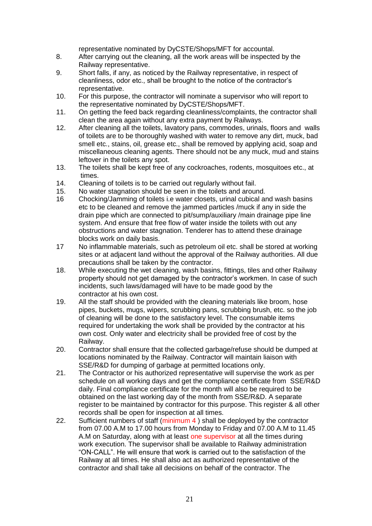representative nominated by DyCSTE/Shops/MFT for accountal.

- 8. After carrying out the cleaning, all the work areas will be inspected by the Railway representative.
- 9. Short falls, if any, as noticed by the Railway representative, in respect of cleanliness, odor etc., shall be brought to the notice of the contractor"s representative.
- 10. For this purpose, the contractor will nominate a supervisor who will report to the representative nominated by DyCSTE/Shops/MFT.
- 11. On getting the feed back regarding cleanliness/complaints, the contractor shall clean the area again without any extra payment by Railways.
- 12. After cleaning all the toilets, lavatory pans, commodes, urinals, floors and walls of toilets are to be thoroughly washed with water to remove any dirt, muck, bad smell etc., stains, oil, grease etc., shall be removed by applying acid, soap and miscellaneous cleaning agents. There should not be any muck, mud and stains leftover in the toilets any spot.
- 13. The toilets shall be kept free of any cockroaches, rodents, mosquitoes etc., at times.
- 14. Cleaning of toilets is to be carried out regularly without fail.
- 15. No water stagnation should be seen in the toilets and around.
- 16 Chocking/Jamming of toilets i.e water closets, urinal cubical and wash basins etc to be cleaned and remove the jammed particles /muck if any in side the drain pipe which are connected to pit/sump/auxiliary /main drainage pipe line system. And ensure that free flow of water inside the toilets with out any obstructions and water stagnation. Tenderer has to attend these drainage blocks work on daily basis.
- 17 No inflammable materials, such as petroleum oil etc. shall be stored at working sites or at adjacent land without the approval of the Railway authorities. All due precautions shall be taken by the contractor.
- 18. While executing the wet cleaning, wash basins, fittings, tiles and other Railway property should not get damaged by the contractor"s workmen. In case of such incidents, such laws/damaged will have to be made good by the contractor at his own cost.
- 19. All the staff should be provided with the cleaning materials like broom, hose pipes, buckets, mugs, wipers, scrubbing pans, scrubbing brush, etc. so the job of cleaning will be done to the satisfactory level. The consumable items required for undertaking the work shall be provided by the contractor at his own cost. Only water and electricity shall be provided free of cost by the Railway.
- 20. Contractor shall ensure that the collected garbage/refuse should be dumped at locations nominated by the Railway. Contractor will maintain liaison with SSE/R&D for dumping of garbage at permitted locations only.
- 21. The Contractor or his authorized representative will supervise the work as per schedule on all working days and get the compliance certificate from SSE/R&D daily. Final compliance certificate for the month will also be required to be obtained on the last working day of the month from SSE/R&D. A separate register to be maintained by contractor for this purpose. This register & all other records shall be open for inspection at all times.
- 22. Sufficient numbers of staff (minimum 4) shall be deployed by the contractor from 07.00 A.M to 17.00 hours from Monday to Friday and 07.00 A.M to 11.45 A.M on Saturday, along with at least one supervisor at all the times during work execution. The supervisor shall be available to Railway administration "ON-CALL". He will ensure that work is carried out to the satisfaction of the Railway at all times. He shall also act as authorized representative of the contractor and shall take all decisions on behalf of the contractor. The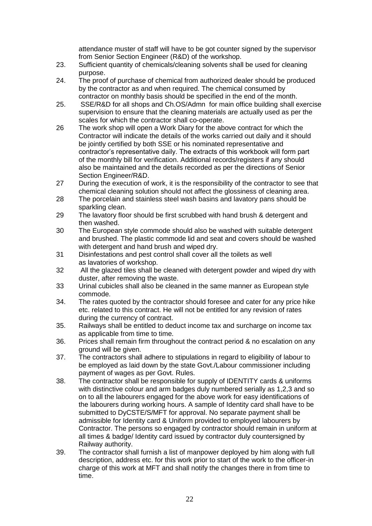attendance muster of staff will have to be got counter signed by the supervisor from Senior Section Engineer (R&D) of the workshop.

- 23. Sufficient quantity of chemicals/cleaning solvents shall be used for cleaning purpose.
- 24. The proof of purchase of chemical from authorized dealer should be produced by the contractor as and when required. The chemical consumed by contractor on monthly basis should be specified in the end of the month.
- 25. SSE/R&D for all shops and Ch.OS/Admn for main office building shall exercise supervision to ensure that the cleaning materials are actually used as per the scales for which the contractor shall co-operate.
- 26 The work shop will open a Work Diary for the above contract for which the Contractor will indicate the details of the works carried out daily and it should be jointly certified by both SSE or his nominated representative and contractor"s representative daily. The extracts of this workbook will form part of the monthly bill for verification. Additional records/registers if any should also be maintained and the details recorded as per the directions of Senior Section Engineer/R&D.
- 27 During the execution of work, it is the responsibility of the contractor to see that chemical cleaning solution should not affect the glossiness of cleaning area.
- 28 The porcelain and stainless steel wash basins and lavatory pans should be sparkling clean.
- 29 The lavatory floor should be first scrubbed with hand brush & detergent and then washed.
- 30 The European style commode should also be washed with suitable detergent and brushed. The plastic commode lid and seat and covers should be washed with detergent and hand brush and wiped dry.
- 31 Disinfestations and pest control shall cover all the toilets as well as lavatories of workshop.
- 32 All the glazed tiles shall be cleaned with detergent powder and wiped dry with duster, after removing the waste.
- 33 Urinal cubicles shall also be cleaned in the same manner as European style commode.
- 34. The rates quoted by the contractor should foresee and cater for any price hike etc. related to this contract. He will not be entitled for any revision of rates during the currency of contract.
- 35. Railways shall be entitled to deduct income tax and surcharge on income tax as applicable from time to time.
- 36. Prices shall remain firm throughout the contract period & no escalation on any ground will be given.
- 37. The contractors shall adhere to stipulations in regard to eligibility of labour to be employed as laid down by the state Govt./Labour commissioner including payment of wages as per Govt. Rules.
- 38. The contractor shall be responsible for supply of IDENTITY cards & uniforms with distinctive colour and arm badges duly numbered serially as 1,2,3 and so on to all the labourers engaged for the above work for easy identifications of the labourers during working hours. A sample of Identity card shall have to be submitted to DyCSTE/S/MFT for approval. No separate payment shall be admissible for Identity card & Uniform provided to employed labourers by Contractor. The persons so engaged by contractor should remain in uniform at all times & badge/ Identity card issued by contractor duly countersigned by Railway authority.
- 39. The contractor shall furnish a list of manpower deployed by him along with full description, address etc. for this work prior to start of the work to the officer-in charge of this work at MFT and shall notify the changes there in from time to time.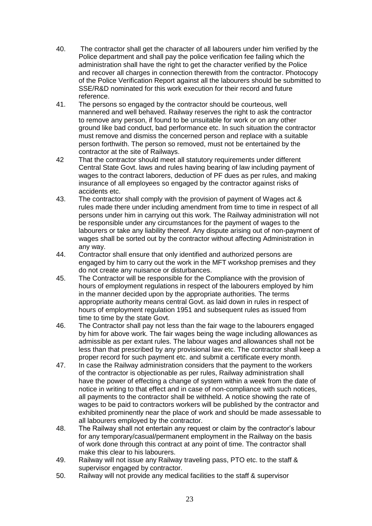- 40. The contractor shall get the character of all labourers under him verified by the Police department and shall pay the police verification fee failing which the administration shall have the right to get the character verified by the Police and recover all charges in connection therewith from the contractor. Photocopy of the Police Verification Report against all the labourers should be submitted to SSE/R&D nominated for this work execution for their record and future reference.
- 41. The persons so engaged by the contractor should be courteous, well mannered and well behaved. Railway reserves the right to ask the contractor to remove any person, if found to be unsuitable for work or on any other ground like bad conduct, bad performance etc. In such situation the contractor must remove and dismiss the concerned person and replace with a suitable person forthwith. The person so removed, must not be entertained by the contractor at the site of Railways.
- 42 That the contractor should meet all statutory requirements under different Central State Govt. laws and rules having bearing of law including payment of wages to the contract laborers, deduction of PF dues as per rules, and making insurance of all employees so engaged by the contractor against risks of accidents etc.
- 43. The contractor shall comply with the provision of payment of Wages act & rules made there under including amendment from time to time in respect of all persons under him in carrying out this work. The Railway administration will not be responsible under any circumstances for the payment of wages to the labourers or take any liability thereof. Any dispute arising out of non-payment of wages shall be sorted out by the contractor without affecting Administration in any way.
- 44. Contractor shall ensure that only identified and authorized persons are engaged by him to carry out the work in the MFT workshop premises and they do not create any nuisance or disturbances.
- 45. The Contractor will be responsible for the Compliance with the provision of hours of employment regulations in respect of the labourers employed by him in the manner decided upon by the appropriate authorities. The terms appropriate authority means central Govt. as laid down in rules in respect of hours of employment regulation 1951 and subsequent rules as issued from time to time by the state Govt.
- 46. The Contractor shall pay not less than the fair wage to the labourers engaged by him for above work. The fair wages being the wage including allowances as admissible as per extant rules. The labour wages and allowances shall not be less than that prescribed by any provisional law etc. The contractor shall keep a proper record for such payment etc. and submit a certificate every month.
- 47. In case the Railway administration considers that the payment to the workers of the contractor is objectionable as per rules, Railway administration shall have the power of effecting a change of system within a week from the date of notice in writing to that effect and in case of non-compliance with such notices, all payments to the contractor shall be withheld. A notice showing the rate of wages to be paid to contractors workers will be published by the contractor and exhibited prominently near the place of work and should be made assessable to all labourers employed by the contractor.
- 48. The Railway shall not entertain any request or claim by the contractor"s labour for any temporary/casual/permanent employment in the Railway on the basis of work done through this contract at any point of time. The contractor shall make this clear to his labourers.
- 49. Railway will not issue any Railway traveling pass, PTO etc. to the staff & supervisor engaged by contractor.
- 50. Railway will not provide any medical facilities to the staff & supervisor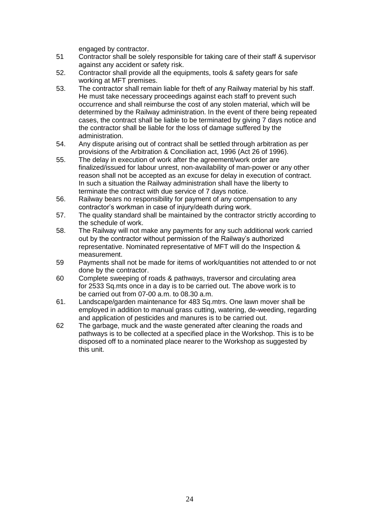engaged by contractor.

- 51 Contractor shall be solely responsible for taking care of their staff & supervisor against any accident or safety risk.
- 52. Contractor shall provide all the equipments, tools & safety gears for safe working at MFT premises.
- 53. The contractor shall remain liable for theft of any Railway material by his staff. He must take necessary proceedings against each staff to prevent such occurrence and shall reimburse the cost of any stolen material, which will be determined by the Railway administration. In the event of there being repeated cases, the contract shall be liable to be terminated by giving 7 days notice and the contractor shall be liable for the loss of damage suffered by the administration.
- 54. Any dispute arising out of contract shall be settled through arbitration as per provisions of the Arbitration & Conciliation act, 1996 (Act 26 of 1996).
- 55. The delay in execution of work after the agreement/work order are finalized/issued for labour unrest, non-availability of man-power or any other reason shall not be accepted as an excuse for delay in execution of contract. In such a situation the Railway administration shall have the liberty to terminate the contract with due service of 7 days notice.
- 56. Railway bears no responsibility for payment of any compensation to any contractor"s workman in case of injury/death during work.
- 57. The quality standard shall be maintained by the contractor strictly according to the schedule of work.
- 58. The Railway will not make any payments for any such additional work carried out by the contractor without permission of the Railway"s authorized representative. Nominated representative of MFT will do the Inspection & measurement.
- 59 Payments shall not be made for items of work/quantities not attended to or not done by the contractor.
- 60 Complete sweeping of roads & pathways, traversor and circulating area for 2533 Sq.mts once in a day is to be carried out. The above work is to be carried out from 07-00 a.m. to 08.30 a.m.
- 61. Landscape/garden maintenance for 483 Sq.mtrs. One lawn mover shall be employed in addition to manual grass cutting, watering, de-weeding, regarding and application of pesticides and manures is to be carried out.
- 62 The garbage, muck and the waste generated after cleaning the roads and pathways is to be collected at a specified place in the Workshop. This is to be disposed off to a nominated place nearer to the Workshop as suggested by this unit.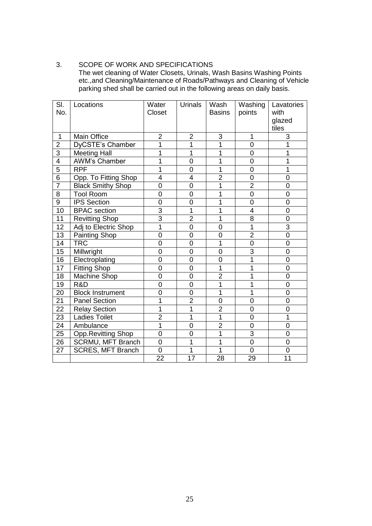## 3. SCOPE OF WORK AND SPECIFICATIONS

The wet cleaning of Water Closets, Urinals, Wash Basins Washing Points etc.,and Cleaning/Maintenance of Roads/Pathways and Cleaning of Vehicle parking shed shall be carried out in the following areas on daily basis.

| SI.<br>No.      | Locations                 | Water<br>Closet | Urinals        | Wash<br><b>Basins</b> | Washing<br>points | Lavatories<br>with |
|-----------------|---------------------------|-----------------|----------------|-----------------------|-------------------|--------------------|
|                 |                           |                 |                |                       |                   | glazed             |
|                 |                           |                 |                |                       |                   | tiles              |
| 1               | <b>Main Office</b>        | $\overline{2}$  | 2              | 3                     | 1                 | 3                  |
| $\overline{2}$  | DyCSTE's Chamber          | 1               | 1              | 1                     | $\overline{0}$    | 1                  |
| $\overline{3}$  | <b>Meeting Hall</b>       | 1               | 1              | 1                     | $\mathbf 0$       | 1                  |
| 4               | <b>AWM's Chamber</b>      | 1               | 0              | 1                     | $\overline{0}$    | 1                  |
| $\overline{5}$  | <b>RPF</b>                | 1               | 0              | 1                     | $\overline{0}$    | 1                  |
| 6               | Opp. To Fitting Shop      | $\overline{4}$  | 4              | $\overline{2}$        | $\mathbf 0$       | 0                  |
| $\overline{7}$  | <b>Black Smithy Shop</b>  | 0               | 0              | 1                     | $\overline{2}$    | 0                  |
| 8               | <b>Tool Room</b>          | $\overline{0}$  | $\overline{0}$ | 1                     | $\overline{0}$    | $\overline{0}$     |
| 9               | <b>IPS Section</b>        | 0               | 0              | 1                     | $\overline{0}$    | 0                  |
| 10              | <b>BPAC</b> section       | $\overline{3}$  | 1              | 1                     | $\overline{4}$    | $\overline{0}$     |
| 11              | <b>Revitting Shop</b>     | 3               | $\overline{2}$ | 1                     | 8                 | 0                  |
| 12              | Adj to Electric Shop      | 1               | $\overline{0}$ | $\overline{0}$        | $\overline{1}$    | 3                  |
| 13              | <b>Painting Shop</b>      | $\overline{0}$  | $\mathbf 0$    | $\overline{0}$        | $\overline{2}$    | $\overline{0}$     |
| 14              | <b>TRC</b>                | 0               | 0              | 1                     | $\overline{0}$    | $\overline{0}$     |
| 15              | Millwright                | 0               | 0              | $\overline{0}$        | $\overline{3}$    | 0                  |
| 16              | Electroplating            | 0               | $\mathbf 0$    | $\overline{0}$        | $\overline{1}$    | 0                  |
| $\overline{17}$ | <b>Fitting Shop</b>       | $\overline{0}$  | $\overline{0}$ | 1                     | 1                 | $\overline{0}$     |
| 18              | Machine Shop              | 0               | 0              | $\overline{2}$        | 1                 | 0                  |
| 19              | R&D                       | $\overline{0}$  | $\overline{0}$ | $\overline{1}$        | $\overline{1}$    | $\overline{0}$     |
| 20              | <b>Block Instrument</b>   | $\overline{0}$  | 0              | 1                     | 1                 | $\overline{0}$     |
| 21              | <b>Panel Section</b>      | 1               | $\overline{2}$ | $\overline{0}$        | $\overline{0}$    | 0                  |
| 22              | <b>Relay Section</b>      | 1               | 1              | $\overline{2}$        | $\mathbf 0$       | 0                  |
| 23              | <b>Ladies Toilet</b>      | $\overline{2}$  | $\overline{1}$ | 1                     | $\overline{0}$    | $\overline{1}$     |
| 24              | Ambulance                 | 1               | $\overline{0}$ | $\overline{2}$        | $\mathbf 0$       | 0                  |
| 25              | <b>Opp.Revitting Shop</b> | $\overline{0}$  | 0              | 1                     | $\overline{3}$    | $\overline{0}$     |
| 26              | SCRMU, MFT Branch         | $\overline{0}$  | 1              | 1                     | $\overline{0}$    | $\overline{0}$     |
| 27              | <b>SCRES, MFT Branch</b>  | $\overline{0}$  | 1              | 1                     | $\overline{0}$    | $\overline{0}$     |
|                 |                           | 22              | 17             | 28                    | 29                | 11                 |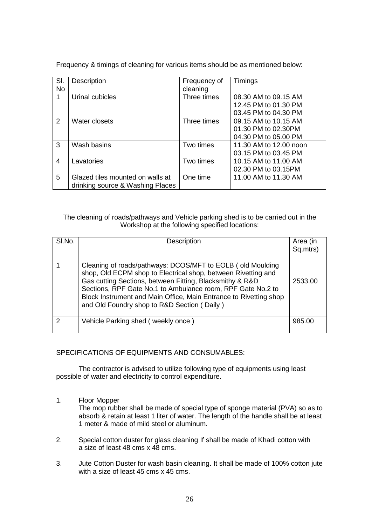| SI.<br><b>No</b> | Description                                                          | Frequency of<br>cleaning | Timings                                                              |
|------------------|----------------------------------------------------------------------|--------------------------|----------------------------------------------------------------------|
|                  | Urinal cubicles                                                      | Three times              | 08.30 AM to 09.15 AM<br>12.45 PM to 01.30 PM<br>03.45 PM to 04.30 PM |
| $\mathcal{P}$    | Water closets                                                        | Three times              | 09.15 AM to 10.15 AM<br>01.30 PM to 02.30PM<br>04.30 PM to 05.00 PM  |
| 3                | Wash basins                                                          | Two times                | 11.30 AM to 12.00 noon<br>03.15 PM to 03.45 PM                       |
| 4                | Lavatories                                                           | Two times                | 10.15 AM to 11.00 AM<br>02.30 PM to 03.15PM                          |
| 5                | Glazed tiles mounted on walls at<br>drinking source & Washing Places | One time                 | 11.00 AM to 11.30 AM                                                 |

Frequency & timings of cleaning for various items should be as mentioned below:

The cleaning of roads/pathways and Vehicle parking shed is to be carried out in the Workshop at the following specified locations:

| SI.No. | Description                                                                                                                                                                                                                                                                                                                                                                | Area (in<br>Sq.mtrs) |
|--------|----------------------------------------------------------------------------------------------------------------------------------------------------------------------------------------------------------------------------------------------------------------------------------------------------------------------------------------------------------------------------|----------------------|
|        | Cleaning of roads/pathways: DCOS/MFT to EOLB (old Moulding<br>shop, Old ECPM shop to Electrical shop, between Rivetting and<br>Gas cutting Sections, between Fitting, Blacksmithy & R&D<br>Sections, RPF Gate No.1 to Ambulance room, RPF Gate No.2 to<br>Block Instrument and Main Office, Main Entrance to Rivetting shop<br>and Old Foundry shop to R&D Section (Daily) | 2533.00              |
| າ      | Vehicle Parking shed (weekly once)                                                                                                                                                                                                                                                                                                                                         | 985.00               |

SPECIFICATIONS OF EQUIPMENTS AND CONSUMABLES:

The contractor is advised to utilize following type of equipments using least possible of water and electricity to control expenditure.

1. Floor Mopper

The mop rubber shall be made of special type of sponge material (PVA) so as to absorb & retain at least 1 liter of water. The length of the handle shall be at least 1 meter & made of mild steel or aluminum.

- 2. Special cotton duster for glass cleaning If shall be made of Khadi cotton with a size of least 48 cms x 48 cms.
- 3. Jute Cotton Duster for wash basin cleaning. It shall be made of 100% cotton jute with a size of least 45 cms x 45 cms.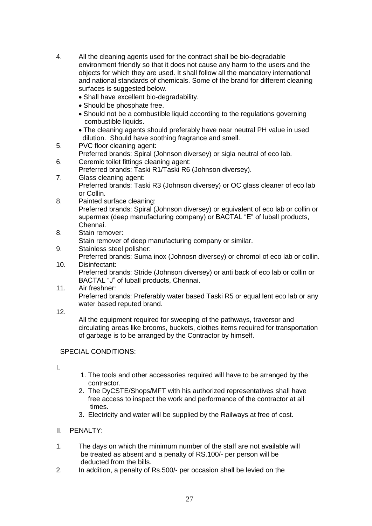- 4. All the cleaning agents used for the contract shall be bio-degradable environment friendly so that it does not cause any harm to the users and the objects for which they are used. It shall follow all the mandatory international and national standards of chemicals. Some of the brand for different cleaning surfaces is suggested below.
	- Shall have excellent bio-degradability.
	- Should be phosphate free.
	- Should not be a combustible liquid according to the regulations governing combustible liquids.
	- The cleaning agents should preferably have near neutral PH value in used dilution. Should have soothing fragrance and smell.
- 5. PVC floor cleaning agent:
	- Preferred brands: Spiral (Johnson diversey) or sigla neutral of eco lab.
- 6. Ceremic toilet fittings cleaning agent:
- Preferred brands: Taski R1/Taski R6 (Johnson diversey).
- 7. Glass cleaning agent: Preferred brands: Taski R3 (Johnson diversey) or OC glass cleaner of eco lab or Collin.
- 8. Painted surface cleaning: Preferred brands: Spiral (Johnson diversey) or equivalent of eco lab or collin or supermax (deep manufacturing company) or BACTAL "E" of luball products, Chennai.
- 8. Stain remover:
	- Stain remover of deep manufacturing company or similar.
- 9. Stainless steel polisher: Preferred brands: Suma inox (Johnosn diversey) or chromol of eco lab or collin.
- 10. Disinfectant: Preferred brands: Stride (Johnson diversey) or anti back of eco lab or collin or BACTAL "J" of luball products, Chennai.
- 11. Air freshner: Preferred brands: Preferably water based Taski R5 or equal lent eco lab or any water based reputed brand.
- 12.

All the equipment required for sweeping of the pathways, traversor and circulating areas like brooms, buckets, clothes items required for transportation of garbage is to be arranged by the Contractor by himself.

## SPECIAL CONDITIONS:

I.

- 1. The tools and other accessories required will have to be arranged by the contractor.
- 2. The DyCSTE/Shops/MFT with his authorized representatives shall have free access to inspect the work and performance of the contractor at all times.
- 3. Electricity and water will be supplied by the Railways at free of cost.
- II. PENALTY:
- 1. The days on which the minimum number of the staff are not available will be treated as absent and a penalty of RS.100/- per person will be deducted from the bills.
- 2. In addition, a penalty of Rs.500/- per occasion shall be levied on the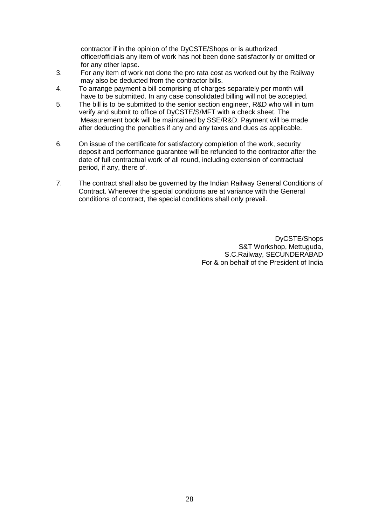contractor if in the opinion of the DyCSTE/Shops or is authorized officer/officials any item of work has not been done satisfactorily or omitted or for any other lapse.

- 3. For any item of work not done the pro rata cost as worked out by the Railway may also be deducted from the contractor bills.
- 4. To arrange payment a bill comprising of charges separately per month will have to be submitted. In any case consolidated billing will not be accepted.
- 5. The bill is to be submitted to the senior section engineer, R&D who will in turn verify and submit to office of DyCSTE/S/MFT with a check sheet. The Measurement book will be maintained by SSE/R&D. Payment will be made after deducting the penalties if any and any taxes and dues as applicable.
- 6. On issue of the certificate for satisfactory completion of the work, security deposit and performance guarantee will be refunded to the contractor after the date of full contractual work of all round, including extension of contractual period, if any, there of.
- 7. The contract shall also be governed by the Indian Railway General Conditions of Contract. Wherever the special conditions are at variance with the General conditions of contract, the special conditions shall only prevail.

DyCSTE/Shops S&T Workshop, Mettuguda, S.C.Railway, SECUNDERABAD For & on behalf of the President of India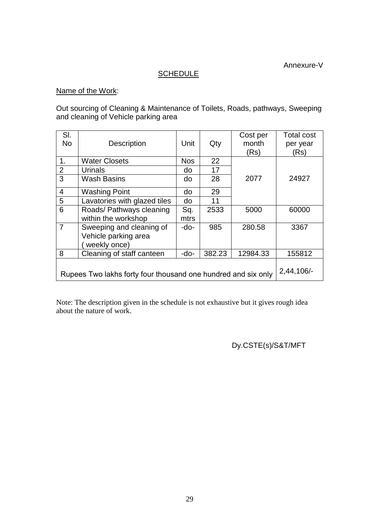Annexure-V

## **SCHEDULE**

## Name of the Work:

Out sourcing of Cleaning & Maintenance of Toilets, Roads, pathways, Sweeping and cleaning of Vehicle parking area

| SI.                                                           |                              |            |        | Cost per      | <b>Total cost</b> |
|---------------------------------------------------------------|------------------------------|------------|--------|---------------|-------------------|
| <b>No</b>                                                     | Description                  | Unit       | Qty    | month         | per year          |
|                                                               |                              |            |        | (Rs)          | (Rs)              |
| 1.                                                            | <b>Water Closets</b>         | <b>Nos</b> | 22     |               |                   |
| $\overline{2}$                                                | Urinals                      | do         | 17     |               |                   |
| 3                                                             | <b>Wash Basins</b>           | do         | 28     | 2077          | 24927             |
| 4                                                             | <b>Washing Point</b>         | do         | 29     |               |                   |
| 5                                                             | Lavatories with glazed tiles | do         | 11     |               |                   |
| 6                                                             | Roads/ Pathways cleaning     | Sq.        | 2533   | 5000          | 60000             |
|                                                               | within the workshop          | mtrs       |        |               |                   |
| $\overline{7}$                                                | Sweeping and cleaning of     | -do-       | 985    | 280.58        | 3367              |
|                                                               | Vehicle parking area         |            |        |               |                   |
|                                                               | weekly once)                 |            |        |               |                   |
| 8                                                             | Cleaning of staff canteen    | -do-       | 382.23 | 12984.33      | 155812            |
|                                                               |                              |            |        |               |                   |
| Rupees Two lakhs forty four thousand one hundred and six only |                              |            |        | $2,44,106/$ - |                   |
|                                                               |                              |            |        |               |                   |

Note: The description given in the schedule is not exhaustive but it gives rough idea about the nature of work.

Dy.CSTE(s)/S&T/MFT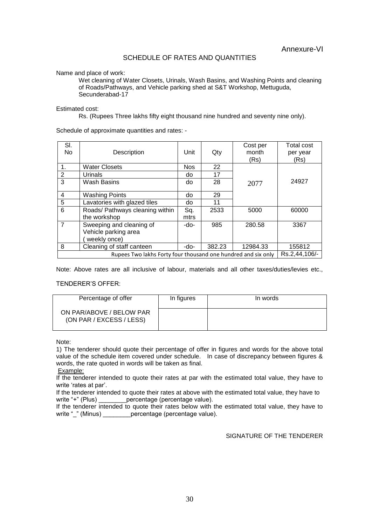### SCHEDULE OF RATES AND QUANTITIES

Name and place of work:

Wet cleaning of Water Closets, Urinals, Wash Basins, and Washing Points and cleaning of Roads/Pathways, and Vehicle parking shed at S&T Workshop, Mettuguda, Secunderabad-17

Estimated cost:

Rs. (Rupees Three lakhs fifty eight thousand nine hundred and seventy nine only).

Schedule of approximate quantities and rates: -

| SI.<br><b>No</b> | Description                                                                    | Unit       | Qty    | Cost per<br>month<br>(Rs) | Total cost<br>per year<br>(Rs) |
|------------------|--------------------------------------------------------------------------------|------------|--------|---------------------------|--------------------------------|
| 1.               | <b>Water Closets</b>                                                           | <b>Nos</b> | 22     |                           |                                |
| 2                | Urinals                                                                        | do         | 17     |                           |                                |
| 3                | Wash Basins                                                                    | do         | 28     | 2077                      | 24927                          |
| 4                | <b>Washing Points</b>                                                          | do         | 29     |                           |                                |
| 5                | Lavatories with glazed tiles                                                   | do         | 11     |                           |                                |
| 6                | Roads/ Pathways cleaning within                                                | Sq.        | 2533   | 5000                      | 60000                          |
|                  | the workshop                                                                   | mtrs       |        |                           |                                |
| $\overline{7}$   | Sweeping and cleaning of                                                       | -do-       | 985    | 280.58                    | 3367                           |
|                  | Vehicle parking area<br>weekly once)                                           |            |        |                           |                                |
| 8                | Cleaning of staff canteen                                                      | -do-       | 382.23 | 12984.33                  | 155812                         |
|                  | Rs.2,44,106/-<br>Rupees Two lakhs Forty four thousand one hundred and six only |            |        |                           |                                |

Note: Above rates are all inclusive of labour, materials and all other taxes/duties/levies etc.,

#### TENDERER"S OFFER:

| Percentage of offer                                  | In figures | In words |
|------------------------------------------------------|------------|----------|
| ON PAR/ABOVE / BELOW PAR<br>(ON PAR / EXCESS / LESS) |            |          |

Note:

1) The tenderer should quote their percentage of offer in figures and words for the above total value of the schedule item covered under schedule. In case of discrepancy between figures & words, the rate quoted in words will be taken as final.

Example:

If the tenderer intended to quote their rates at par with the estimated total value, they have to write 'rates at par'.

If the tenderer intended to quote their rates at above with the estimated total value, they have to write "+" (Plus) ercentage (percentage value).

If the tenderer intended to quote their rates below with the estimated total value, they have to write " " (Minus) ercentage (percentage value).

SIGNATURE OF THE TENDERER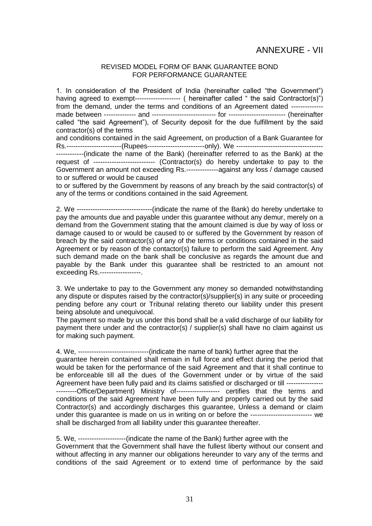### REVISED MODEL FORM OF BANK GUARANTEE BOND FOR PERFORMANCE GUARANTEE

1. In consideration of the President of India (hereinafter called "the Government") having agreed to exempt-------------------- ( hereinafter called " the said Contractor(s)") from the demand, under the terms and conditions of an Agreement dated ------------- made between -------------- and ---------------------------- for ------------------------- (hereinafter called "the said Agreement"), of Security deposit for the due fulfillment by the said contractor(s) of the terms

and conditions contained in the said Agreement, on production of a Bank Guarantee for Rs.------------------------(Rupees-------------------------only). We -------------------------------------- ------------(indicate the name of the Bank) (hereinafter referred to as the Bank) at the request of --------------------------- (Contractor(s) do hereby undertake to pay to the Government an amount not exceeding Rs.--------------against any loss / damage caused to or suffered or would be caused

to or suffered by the Government by reasons of any breach by the said contractor(s) of any of the terms or conditions contained in the said Agreement.

2. We ---------------------------------(indicate the name of the Bank) do hereby undertake to pay the amounts due and payable under this guarantee without any demur, merely on a demand from the Government stating that the amount claimed is due by way of loss or damage caused to or would be caused to or suffered by the Government by reason of breach by the said contractor(s) of any of the terms or conditions contained in the said Agreement or by reason of the contactor(s) failure to perform the said Agreement. Any such demand made on the bank shall be conclusive as regards the amount due and payable by the Bank under this guarantee shall be restricted to an amount not exceeding Rs.------------------.

3. We undertake to pay to the Government any money so demanded notwithstanding any dispute or disputes raised by the contractor(s)/supplier(s) in any suite or proceeding pending before any court or Tribunal relating thereto our liability under this present being absolute and unequivocal.

The payment so made by us under this bond shall be a valid discharge of our liability for payment there under and the contractor(s) / supplier(s) shall have no claim against us for making such payment.

4. We, -------------------------------(indicate the name of bank) further agree that the guarantee herein contained shall remain in full force and effect during the period that would be taken for the performance of the said Agreement and that it shall continue to be enforceable till all the dues of the Government under or by virtue of the said Agreement have been fully paid and its claims satisfied or discharged or till -------------------------Office/Department) Ministry of------------------- certifies that the terms and conditions of the said Agreement have been fully and properly carried out by the said Contractor(s) and accordingly discharges this guarantee, Unless a demand or claim under this guarantee is made on us in writing on or before the --------------------------- we shall be discharged from all liability under this guarantee thereafter.

5. We, ---------------------(indicate the name of the Bank) further agree with the Government that the Government shall have the fullest liberty without our consent and without affecting in any manner our obligations hereunder to vary any of the terms and conditions of the said Agreement or to extend time of performance by the said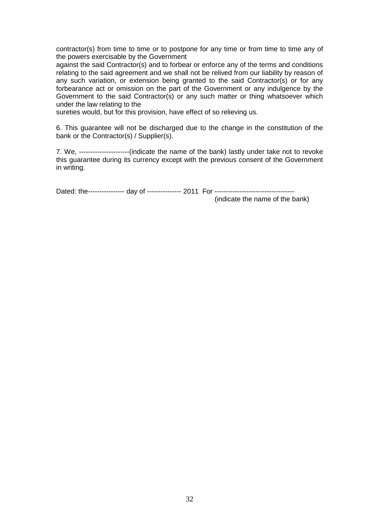contractor(s) from time to time or to postpone for any time or from time to time any of the powers exercisable by the Government

against the said Contractor(s) and to forbear or enforce any of the terms and conditions relating to the said agreement and we shall not be relived from our liability by reason of any such variation, or extension being granted to the said Contractor(s) or for any forbearance act or omission on the part of the Government or any indulgence by the Government to the said Contractor(s) or any such matter or thing whatsoever which under the law relating to the

sureties would, but for this provision, have effect of so relieving us.

6. This guarantee will not be discharged due to the change in the constitution of the bank or the Contractor(s) / Supplier(s).

7. We, ----------------------(indicate the name of the bank) lastly under take not to revoke this guarantee during its currency except with the previous consent of the Government in writing.

Dated: the---------------- day of --------------- 2011 For -----------------------------------

(indicate the name of the bank)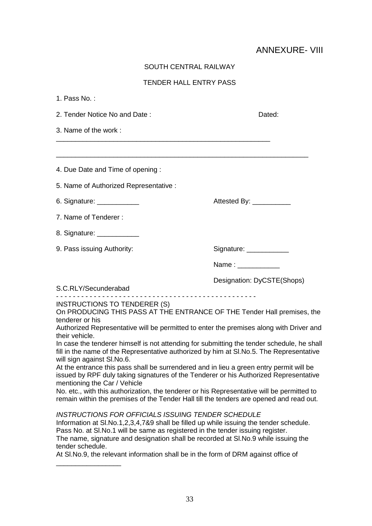# ANNEXURE- VIII

| <b>SOUTH CENTRAL RAILWAY</b>                                                                                                                                                                                                            |                                                                                                                                                                                                                                                                                                                                                                                                                                                                                                                                                                                                                                                                                                                                          |  |  |  |
|-----------------------------------------------------------------------------------------------------------------------------------------------------------------------------------------------------------------------------------------|------------------------------------------------------------------------------------------------------------------------------------------------------------------------------------------------------------------------------------------------------------------------------------------------------------------------------------------------------------------------------------------------------------------------------------------------------------------------------------------------------------------------------------------------------------------------------------------------------------------------------------------------------------------------------------------------------------------------------------------|--|--|--|
| <b>TENDER HALL ENTRY PASS</b>                                                                                                                                                                                                           |                                                                                                                                                                                                                                                                                                                                                                                                                                                                                                                                                                                                                                                                                                                                          |  |  |  |
| 1. Pass No.:                                                                                                                                                                                                                            |                                                                                                                                                                                                                                                                                                                                                                                                                                                                                                                                                                                                                                                                                                                                          |  |  |  |
| 2. Tender Notice No and Date:                                                                                                                                                                                                           | Dated:                                                                                                                                                                                                                                                                                                                                                                                                                                                                                                                                                                                                                                                                                                                                   |  |  |  |
| 3. Name of the work:                                                                                                                                                                                                                    |                                                                                                                                                                                                                                                                                                                                                                                                                                                                                                                                                                                                                                                                                                                                          |  |  |  |
| 4. Due Date and Time of opening :                                                                                                                                                                                                       |                                                                                                                                                                                                                                                                                                                                                                                                                                                                                                                                                                                                                                                                                                                                          |  |  |  |
| 5. Name of Authorized Representative:                                                                                                                                                                                                   |                                                                                                                                                                                                                                                                                                                                                                                                                                                                                                                                                                                                                                                                                                                                          |  |  |  |
| 6. Signature: _____________                                                                                                                                                                                                             | Attested By: ____________                                                                                                                                                                                                                                                                                                                                                                                                                                                                                                                                                                                                                                                                                                                |  |  |  |
| 7. Name of Tenderer:                                                                                                                                                                                                                    |                                                                                                                                                                                                                                                                                                                                                                                                                                                                                                                                                                                                                                                                                                                                          |  |  |  |
| 8. Signature: ______________                                                                                                                                                                                                            |                                                                                                                                                                                                                                                                                                                                                                                                                                                                                                                                                                                                                                                                                                                                          |  |  |  |
| 9. Pass issuing Authority:                                                                                                                                                                                                              | Signature: _____________                                                                                                                                                                                                                                                                                                                                                                                                                                                                                                                                                                                                                                                                                                                 |  |  |  |
|                                                                                                                                                                                                                                         | Name: ____________                                                                                                                                                                                                                                                                                                                                                                                                                                                                                                                                                                                                                                                                                                                       |  |  |  |
| S.C.RLY/Secunderabad                                                                                                                                                                                                                    | Designation: DyCSTE(Shops)<br>. <u>.</u> .                                                                                                                                                                                                                                                                                                                                                                                                                                                                                                                                                                                                                                                                                               |  |  |  |
| INSTRUCTIONS TO TENDERER (S)<br>tenderer or his<br>their vehicle.<br>will sign against SI.No.6.<br>mentioning the Car / Vehicle                                                                                                         | On PRODUCING THIS PASS AT THE ENTRANCE OF THE Tender Hall premises, the<br>Authorized Representative will be permitted to enter the premises along with Driver and<br>In case the tenderer himself is not attending for submitting the tender schedule, he shall<br>fill in the name of the Representative authorized by him at SI.No.5. The Representative<br>At the entrance this pass shall be surrendered and in lieu a green entry permit will be<br>issued by RPF duly taking signatures of the Tenderer or his Authorized Representative<br>No. etc., with this authorization, the tenderer or his Representative will be permitted to<br>remain within the premises of the Tender Hall till the tenders are opened and read out. |  |  |  |
| <b>INSTRUCTIONS FOR OFFICIALS ISSUING TENDER SCHEDULE</b><br>Information at SI.No.1,2,3,4,7&9 shall be filled up while issuing the tender schedule.<br>Pass No. at SI. No. 1 will be same as registered in the tender issuing register. |                                                                                                                                                                                                                                                                                                                                                                                                                                                                                                                                                                                                                                                                                                                                          |  |  |  |

The name, signature and designation shall be recorded at Sl.No.9 while issuing the tender schedule.

At Sl.No.9, the relevant information shall be in the form of DRM against office of

\_\_\_\_\_\_\_\_\_\_\_\_\_\_\_\_\_